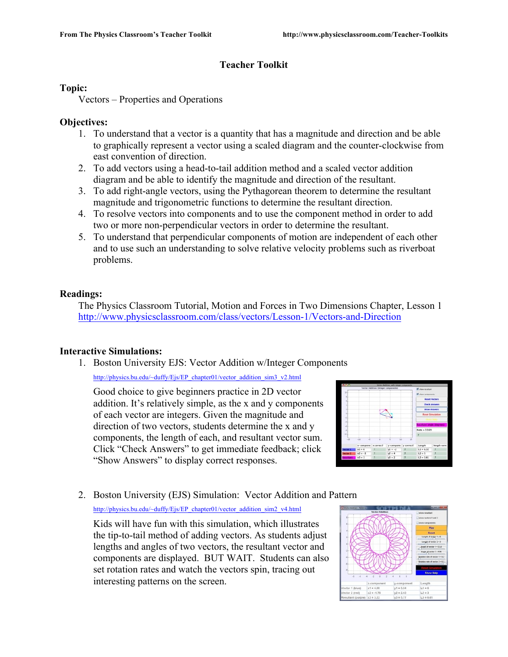# **Teacher Toolkit**

## **Topic:**

Vectors – Properties and Operations

## **Objectives:**

- 1. To understand that a vector is a quantity that has a magnitude and direction and be able to graphically represent a vector using a scaled diagram and the counter-clockwise from east convention of direction.
- 2. To add vectors using a head-to-tail addition method and a scaled vector addition diagram and be able to identify the magnitude and direction of the resultant.
- 3. To add right-angle vectors, using the Pythagorean theorem to determine the resultant magnitude and trigonometric functions to determine the resultant direction.
- 4. To resolve vectors into components and to use the component method in order to add two or more non-perpendicular vectors in order to determine the resultant.
- 5. To understand that perpendicular components of motion are independent of each other and to use such an understanding to solve relative velocity problems such as riverboat problems.

## **Readings:**

The Physics Classroom Tutorial, Motion and Forces in Two Dimensions Chapter, Lesson 1 http://www.physicsclassroom.com/class/vectors/Lesson-1/Vectors-and-Direction

# **Interactive Simulations:**

1. Boston University EJS: Vector Addition w/Integer Components

http://physics.bu.edu/~duffy/Ejs/EP\_chapter01/vector\_addition\_sim3\_v2.html

Good choice to give beginners practice in 2D vector addition. It's relatively simple, as the x and y components of each vector are integers. Given the magnitude and direction of two vectors, students determine the x and y components, the length of each, and resultant vector sum. Click "Check Answers" to get immediate feedback; click "Show Answers" to display correct responses.



# 2. Boston University (EJS) Simulation: Vector Addition and Pattern http://physics.bu.edu/~duffy/Ejs/EP\_chapter01/vector\_addition\_sim2\_v4.html

Kids will have fun with this simulation, which illustrates the tip-to-tail method of adding vectors. As students adjust lengths and angles of two vectors, the resultant vector and components are displayed. BUT WAIT. Students can also set rotation rates and watch the vectors spin, tracing out interesting patterns on the screen.

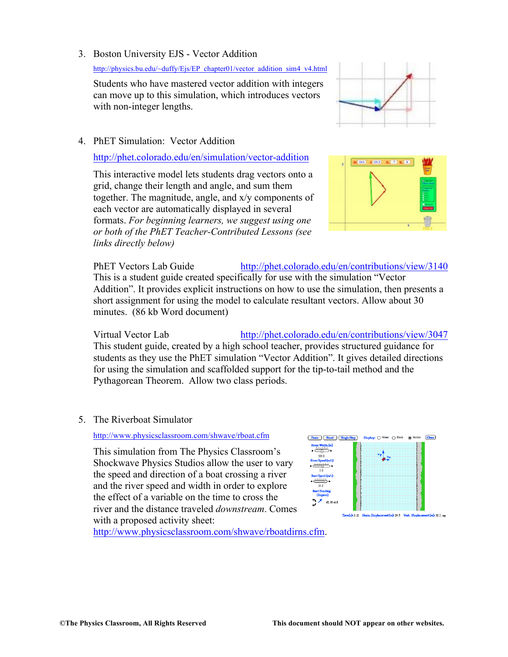# 3. Boston University EJS - Vector Addition

http://physics.bu.edu/~duffy/Ejs/EP\_chapter01/vector\_addition\_sim4\_v4.html

Students who have mastered vector addition with integers can move up to this simulation, which introduces vectors with non-integer lengths.

# 4. PhET Simulation: Vector Addition

# http://phet.colorado.edu/en/simulation/vector-addition

This interactive model lets students drag vectors onto a grid, change their length and angle, and sum them together. The magnitude, angle, and x/y components of each vector are automatically displayed in several formats. *For beginning learners, we suggest using one or both of the PhET Teacher-Contributed Lessons (see links directly below)*

PhET Vectors Lab Guide http://phet.colorado.edu/en/contributions/view/3140 This is a student guide created specifically for use with the simulation "Vector Addition". It provides explicit instructions on how to use the simulation, then presents a short assignment for using the model to calculate resultant vectors. Allow about 30 minutes. (86 kb Word document)

Virtual Vector Lab http://phet.colorado.edu/en/contributions/view/3047 This student guide, created by a high school teacher, provides structured guidance for students as they use the PhET simulation "Vector Addition". It gives detailed directions for using the simulation and scaffolded support for the tip-to-tail method and the Pythagorean Theorem. Allow two class periods.

5. The Riverboat Simulator

# http://www.physicsclassroom.com/shwave/rboat.cfm

This simulation from The Physics Classroom's Shockwave Physics Studios allow the user to vary the speed and direction of a boat crossing a river and the river speed and width in order to explore the effect of a variable on the time to cross the river and the distance traveled *downstream*. Comes with a proposed activity sheet:

http://www.physicsclassroom.com/shwave/rboatdirns.cfm.





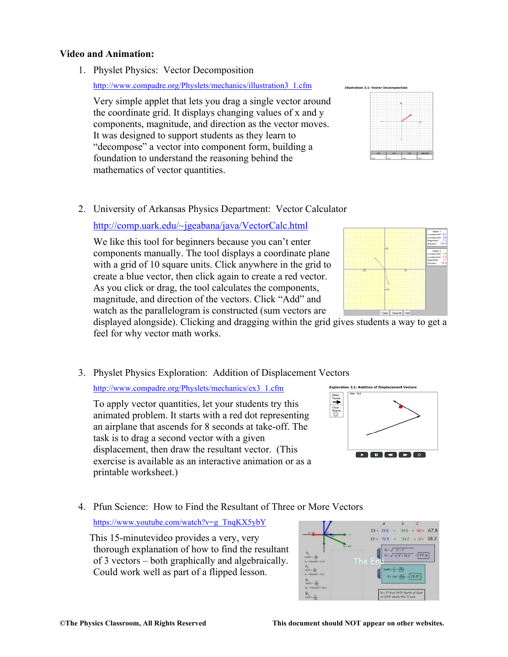#### **Video and Animation:**

1. Physlet Physics: Vector Decomposition

http://www.compadre.org/Physlets/mechanics/illustration3\_1.cfm

Very simple applet that lets you drag a single vector around the coordinate grid. It displays changing values of x and y components, magnitude, and direction as the vector moves. It was designed to support students as they learn to "decompose" a vector into component form, building a foundation to understand the reasoning behind the mathematics of vector quantities.

2. University of Arkansas Physics Department: Vector Calculator

http://comp.uark.edu/~jgeabana/java/VectorCalc.html

We like this tool for beginners because you can't enter components manually. The tool displays a coordinate plane with a grid of 10 square units. Click anywhere in the grid to create a blue vector, then click again to create a red vector. As you click or drag, the tool calculates the components, magnitude, and direction of the vectors. Click "Add" and watch as the parallelogram is constructed (sum vectors are

displayed alongside). Clicking and dragging within the grid gives students a way to get a feel for why vector math works.

3. Physlet Physics Exploration: Addition of Displacement Vectors

http://www.compadre.org/Physlets/mechanics/ex3\_1.cfm

To apply vector quantities, let your students try this animated problem. It starts with a red dot representing an airplane that ascends for 8 seconds at take-off. The task is to drag a second vector with a given displacement, then draw the resultant vector. (This exercise is available as an interactive animation or as a printable worksheet.)

4. Pfun Science: How to Find the Resultant of Three or More Vectors

https://www.youtube.com/watch?v=g\_TnqKX5ybY

This 15-minutevideo provides a very, very thorough explanation of how to find the resultant of 3 vectors – both graphically and algebraically. Could work well as part of a flipped lesson.







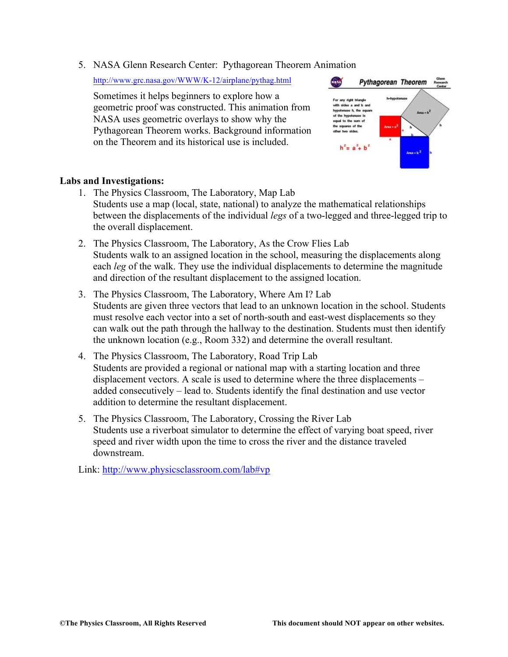5. NASA Glenn Research Center: Pythagorean Theorem Animation

http://www.grc.nasa.gov/WWW/K-12/airplane/pythag.html

Sometimes it helps beginners to explore how a geometric proof was constructed. This animation from NASA uses geometric overlays to show why the Pythagorean Theorem works. Background information on the Theorem and its historical use is included.



## **Labs and Investigations:**

- 1. The Physics Classroom, The Laboratory, Map Lab Students use a map (local, state, national) to analyze the mathematical relationships between the displacements of the individual *legs* of a two-legged and three-legged trip to the overall displacement.
- 2. The Physics Classroom, The Laboratory, As the Crow Flies Lab Students walk to an assigned location in the school, measuring the displacements along each *leg* of the walk. They use the individual displacements to determine the magnitude and direction of the resultant displacement to the assigned location.
- 3. The Physics Classroom, The Laboratory, Where Am I? Lab Students are given three vectors that lead to an unknown location in the school. Students must resolve each vector into a set of north-south and east-west displacements so they can walk out the path through the hallway to the destination. Students must then identify the unknown location (e.g., Room 332) and determine the overall resultant.
- 4. The Physics Classroom, The Laboratory, Road Trip Lab Students are provided a regional or national map with a starting location and three displacement vectors. A scale is used to determine where the three displacements – added consecutively – lead to. Students identify the final destination and use vector addition to determine the resultant displacement.
- 5. The Physics Classroom, The Laboratory, Crossing the River Lab Students use a riverboat simulator to determine the effect of varying boat speed, river speed and river width upon the time to cross the river and the distance traveled downstream.

Link: http://www.physicsclassroom.com/lab#vp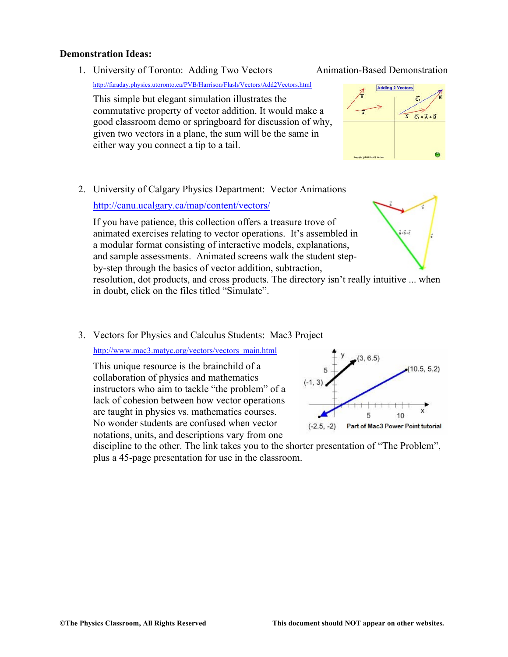#### **Demonstration Ideas:**

1. University of Toronto: Adding Two Vectors Animation-Based Demonstration

http://faraday.physics.utoronto.ca/PVB/Harrison/Flash/Vectors/Add2Vectors.html

This simple but elegant simulation illustrates the commutative property of vector addition. It would make a good classroom demo or springboard for discussion of why, given two vectors in a plane, the sum will be the same in either way you connect a tip to a tail.

2. University of Calgary Physics Department: Vector Animations

http://canu.ucalgary.ca/map/content/vectors/

If you have patience, this collection offers a treasure trove of animated exercises relating to vector operations. It's assembled in  $\vec{a} \cdot \vec{b} \cdot \vec{c}$ a modular format consisting of interactive models, explanations, and sample assessments. Animated screens walk the student stepby-step through the basics of vector addition, subtraction, resolution, dot products, and cross products. The directory isn't really intuitive ... when in doubt, click on the files titled "Simulate".

3. Vectors for Physics and Calculus Students: Mac3 Project

http://www.mac3.matyc.org/vectors/vectors\_main.html

This unique resource is the brainchild of a collaboration of physics and mathematics instructors who aim to tackle "the problem" of a lack of cohesion between how vector operations are taught in physics vs. mathematics courses. No wonder students are confused when vector notations, units, and descriptions vary from one

 $(10.5, 5.2)$  $(-1, 3)$ 5 10  $(-2.5, -2)$ Part of Mac3 Power Point tutorial

discipline to the other. The link takes you to the shorter presentation of "The Problem", plus a 45-page presentation for use in the classroom.



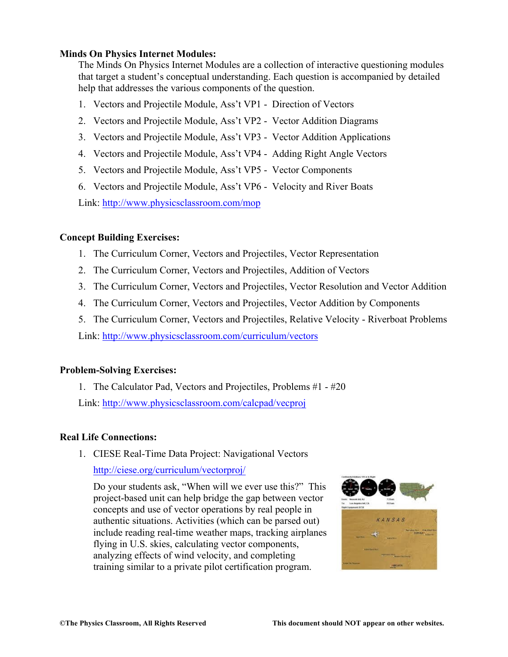## **Minds On Physics Internet Modules:**

The Minds On Physics Internet Modules are a collection of interactive questioning modules that target a student's conceptual understanding. Each question is accompanied by detailed help that addresses the various components of the question.

- 1. Vectors and Projectile Module, Ass't VP1 Direction of Vectors
- 2. Vectors and Projectile Module, Ass't VP2 Vector Addition Diagrams
- 3. Vectors and Projectile Module, Ass't VP3 Vector Addition Applications
- 4. Vectors and Projectile Module, Ass't VP4 Adding Right Angle Vectors
- 5. Vectors and Projectile Module, Ass't VP5 Vector Components
- 6. Vectors and Projectile Module, Ass't VP6 Velocity and River Boats

Link: http://www.physicsclassroom.com/mop

# **Concept Building Exercises:**

- 1. The Curriculum Corner, Vectors and Projectiles, Vector Representation
- 2. The Curriculum Corner, Vectors and Projectiles, Addition of Vectors
- 3. The Curriculum Corner, Vectors and Projectiles, Vector Resolution and Vector Addition
- 4. The Curriculum Corner, Vectors and Projectiles, Vector Addition by Components
- 5. The Curriculum Corner, Vectors and Projectiles, Relative Velocity Riverboat Problems

Link: http://www.physicsclassroom.com/curriculum/vectors

# **Problem-Solving Exercises:**

1. The Calculator Pad, Vectors and Projectiles, Problems #1 - #20 Link: http://www.physicsclassroom.com/calcpad/vecproj

# **Real Life Connections:**

1. CIESE Real-Time Data Project: Navigational Vectors

http://ciese.org/curriculum/vectorproj/

Do your students ask, "When will we ever use this?" This project-based unit can help bridge the gap between vector concepts and use of vector operations by real people in authentic situations. Activities (which can be parsed out) include reading real-time weather maps, tracking airplanes flying in U.S. skies, calculating vector components, analyzing effects of wind velocity, and completing training similar to a private pilot certification program.

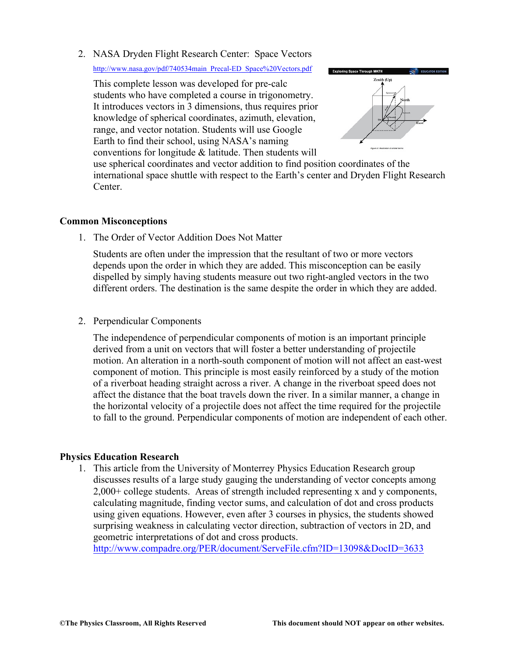2. NASA Dryden Flight Research Center: Space Vectors

http://www.nasa.gov/pdf/740534main\_Precal-ED\_Space%20Vectors.pdf

This complete lesson was developed for pre-calc students who have completed a course in trigonometry. It introduces vectors in 3 dimensions, thus requires prior knowledge of spherical coordinates, azimuth, elevation, range, and vector notation. Students will use Google Earth to find their school, using NASA's naming conventions for longitude & latitude. Then students will



use spherical coordinates and vector addition to find position coordinates of the international space shuttle with respect to the Earth's center and Dryden Flight Research Center.

## **Common Misconceptions**

1. The Order of Vector Addition Does Not Matter

Students are often under the impression that the resultant of two or more vectors depends upon the order in which they are added. This misconception can be easily dispelled by simply having students measure out two right-angled vectors in the two different orders. The destination is the same despite the order in which they are added.

2. Perpendicular Components

The independence of perpendicular components of motion is an important principle derived from a unit on vectors that will foster a better understanding of projectile motion. An alteration in a north-south component of motion will not affect an east-west component of motion. This principle is most easily reinforced by a study of the motion of a riverboat heading straight across a river. A change in the riverboat speed does not affect the distance that the boat travels down the river. In a similar manner, a change in the horizontal velocity of a projectile does not affect the time required for the projectile to fall to the ground. Perpendicular components of motion are independent of each other.

## **Physics Education Research**

1. This article from the University of Monterrey Physics Education Research group discusses results of a large study gauging the understanding of vector concepts among 2,000+ college students. Areas of strength included representing x and y components, calculating magnitude, finding vector sums, and calculation of dot and cross products using given equations. However, even after 3 courses in physics, the students showed surprising weakness in calculating vector direction, subtraction of vectors in 2D, and geometric interpretations of dot and cross products.

http://www.compadre.org/PER/document/ServeFile.cfm?ID=13098&DocID=3633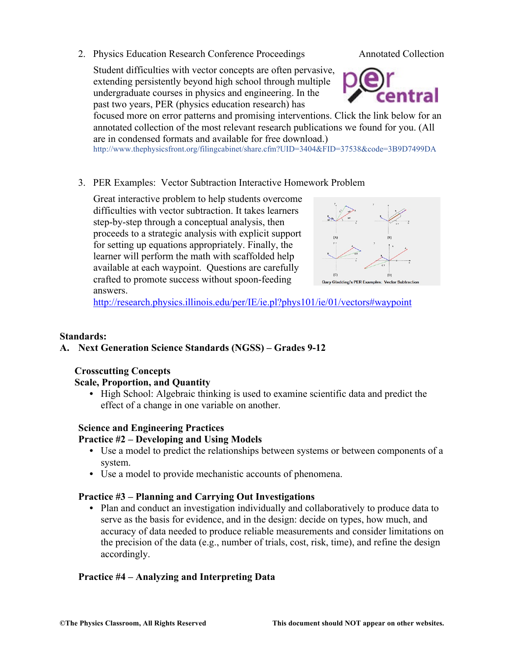2. Physics Education Research Conference Proceedings Annotated Collection

Student difficulties with vector concepts are often pervasive, extending persistently beyond high school through multiple undergraduate courses in physics and engineering. In the past two years, PER (physics education research) has



focused more on error patterns and promising interventions. Click the link below for an annotated collection of the most relevant research publications we found for you. (All are in condensed formats and available for free download.)

http://www.thephysicsfront.org/filingcabinet/share.cfm?UID=3404&FID=37538&code=3B9D7499DA

3. PER Examples: Vector Subtraction Interactive Homework Problem

Great interactive problem to help students overcome difficulties with vector subtraction. It takes learners step-by-step through a conceptual analysis, then proceeds to a strategic analysis with explicit support for setting up equations appropriately. Finally, the learner will perform the math with scaffolded help available at each waypoint. Questions are carefully crafted to promote success without spoon-feeding answers.



http://research.physics.illinois.edu/per/IE/ie.pl?phys101/ie/01/vectors#waypoint

# **Standards:**

# **A. Next Generation Science Standards (NGSS) – Grades 9-12**

# **Crosscutting Concepts**

**Scale, Proportion, and Quantity**

**•** High School: Algebraic thinking is used to examine scientific data and predict the effect of a change in one variable on another.

# **Science and Engineering Practices**

# **Practice #2 – Developing and Using Models**

- **•** Use a model to predict the relationships between systems or between components of a system.
- **•** Use a model to provide mechanistic accounts of phenomena.

# **Practice #3 – Planning and Carrying Out Investigations**

• Plan and conduct an investigation individually and collaboratively to produce data to serve as the basis for evidence, and in the design: decide on types, how much, and accuracy of data needed to produce reliable measurements and consider limitations on the precision of the data (e.g., number of trials, cost, risk, time), and refine the design accordingly.

# **Practice #4 – Analyzing and Interpreting Data**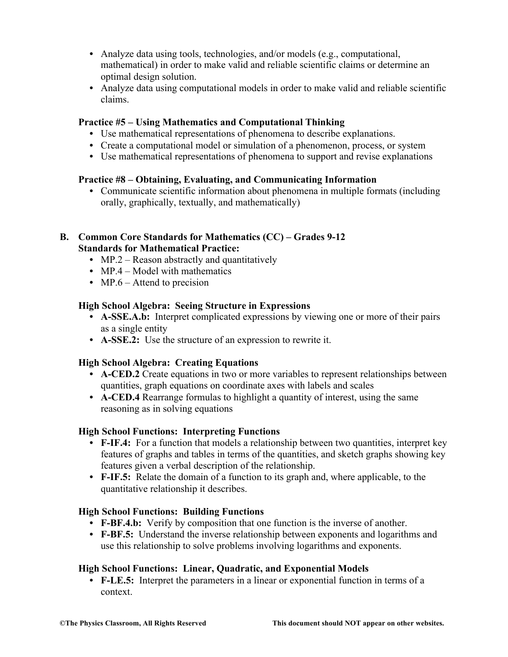- **•** Analyze data using tools, technologies, and/or models (e.g., computational, mathematical) in order to make valid and reliable scientific claims or determine an optimal design solution.
- **•** Analyze data using computational models in order to make valid and reliable scientific claims.

## **Practice #5 – Using Mathematics and Computational Thinking**

- **•** Use mathematical representations of phenomena to describe explanations.
- **•** Create a computational model or simulation of a phenomenon, process, or system
- **•** Use mathematical representations of phenomena to support and revise explanations

## **Practice #8 – Obtaining, Evaluating, and Communicating Information**

**•** Communicate scientific information about phenomena in multiple formats (including orally, graphically, textually, and mathematically)

## **B. Common Core Standards for Mathematics (CC) – Grades 9-12 Standards for Mathematical Practice:**

- MP.2 Reason abstractly and quantitatively
- MP.4 Model with mathematics
- MP.6 Attend to precision

## **High School Algebra: Seeing Structure in Expressions**

- **• A-SSE.A.b:** Interpret complicated expressions by viewing one or more of their pairs as a single entity
- **• A-SSE.2:** Use the structure of an expression to rewrite it.

# **High School Algebra: Creating Equations**

- **• A-CED.2** Create equations in two or more variables to represent relationships between quantities, graph equations on coordinate axes with labels and scales
- **• A-CED.4** Rearrange formulas to highlight a quantity of interest, using the same reasoning as in solving equations

## **High School Functions: Interpreting Functions**

- **F-IF.4:** For a function that models a relationship between two quantities, interpret key features of graphs and tables in terms of the quantities, and sketch graphs showing key features given a verbal description of the relationship.
- **• F-IF.5:** Relate the domain of a function to its graph and, where applicable, to the quantitative relationship it describes.

## **High School Functions: Building Functions**

- **• F-BF.4.b:** Verify by composition that one function is the inverse of another.
- **• F-BF.5:** Understand the inverse relationship between exponents and logarithms and use this relationship to solve problems involving logarithms and exponents.

## **High School Functions: Linear, Quadratic, and Exponential Models**

**• F-LE.5:** Interpret the parameters in a linear or exponential function in terms of a context.